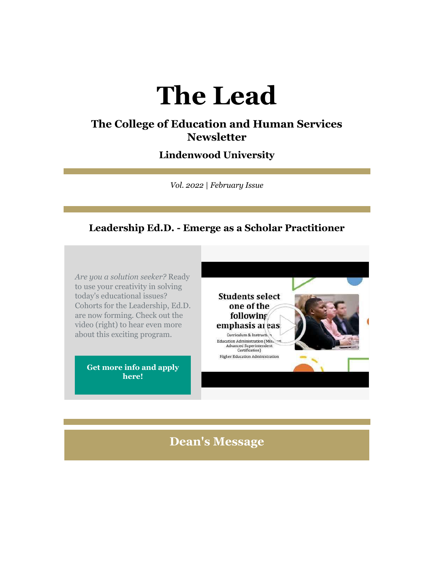# **The Lead**

## **The College of Education and Human Services Newsletter**

# **Lindenwood University**

*Vol. 2022 | February Issue*

#### **Leadership Ed.D. - Emerge as a Scholar Practitioner**

*Are you a solution seeker?* Ready to use your creativity in solving today's educational issues? Cohorts for the Leadership, Ed.D. are now forming. Check out the video (right) to hear even more about this exciting program.

> **[Get more info and apply](https://nam04.safelinks.protection.outlook.com/?url=https%3A%2F%2Fr20.rs6.net%2Ftn.jsp%3Ff%3D001cZdsz7Nb0n1sqKy5sAV5sAygCYgY1YLFjVA2BlF6HKm9Xgap5ihLMhCjW4cuFozlftO3LPIDlBnl6vv2NTXk2S-LRaADam6VweFJH5-JAVQ54Tw7xIC2Bb7gcTHg8lApJnTKKf191rKd84mefZ2pYmc3pS0exYjq64qbOao3vt1QqFXi5bihrQS_xzPEBS8f0JVB2UAuQV9pgasMI4eXht40d6sHDW5klyOubU7lbOv-enr7oZQhxW2MYqCLwgMgBG2kWWos_0g8CIVs9IfXNw%3D%3D%26c%3DOwAi-uW8upnqtbbpKWYfv_C233NH6d27P9-7GIbqW1RNNZzTfKg6sg%3D%3D%26ch%3Dy2pyEEA6wWRkfPeidISvDzBJmkkUSsyNgcsMNlh8YVwdot7gdtcn_A%3D%3D&data=04%7C01%7Cphuffman%40lindenwood.edu%7Cc0f53577e92d4c3952f308d9e5a054fc%7C3d72f08e540a4c68905d9e69c4d9c61e%7C1%7C0%7C637793299060647401%7CUnknown%7CTWFpbGZsb3d8eyJWIjoiMC4wLjAwMDAiLCJQIjoiV2luMzIiLCJBTiI6Ik1haWwiLCJXVCI6Mn0%3D%7C3000&sdata=M2%2B0g19XtWkWXi%2BiJgMDEclpvjpYAhjvcuTMdlDyyg0%3D&reserved=0)  [here!](https://nam04.safelinks.protection.outlook.com/?url=https%3A%2F%2Fr20.rs6.net%2Ftn.jsp%3Ff%3D001cZdsz7Nb0n1sqKy5sAV5sAygCYgY1YLFjVA2BlF6HKm9Xgap5ihLMhCjW4cuFozlftO3LPIDlBnl6vv2NTXk2S-LRaADam6VweFJH5-JAVQ54Tw7xIC2Bb7gcTHg8lApJnTKKf191rKd84mefZ2pYmc3pS0exYjq64qbOao3vt1QqFXi5bihrQS_xzPEBS8f0JVB2UAuQV9pgasMI4eXht40d6sHDW5klyOubU7lbOv-enr7oZQhxW2MYqCLwgMgBG2kWWos_0g8CIVs9IfXNw%3D%3D%26c%3DOwAi-uW8upnqtbbpKWYfv_C233NH6d27P9-7GIbqW1RNNZzTfKg6sg%3D%3D%26ch%3Dy2pyEEA6wWRkfPeidISvDzBJmkkUSsyNgcsMNlh8YVwdot7gdtcn_A%3D%3D&data=04%7C01%7Cphuffman%40lindenwood.edu%7Cc0f53577e92d4c3952f308d9e5a054fc%7C3d72f08e540a4c68905d9e69c4d9c61e%7C1%7C0%7C637793299060647401%7CUnknown%7CTWFpbGZsb3d8eyJWIjoiMC4wLjAwMDAiLCJQIjoiV2luMzIiLCJBTiI6Ik1haWwiLCJXVCI6Mn0%3D%7C3000&sdata=M2%2B0g19XtWkWXi%2BiJgMDEclpvjpYAhjvcuTMdlDyyg0%3D&reserved=0)**



### **Dean's Message**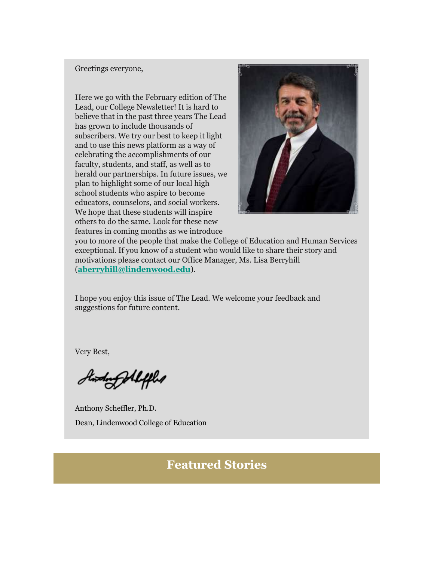#### Greetings everyone,

Here we go with the February edition of The Lead, our College Newsletter! It is hard to believe that in the past three years The Lead has grown to include thousands of subscribers. We try our best to keep it light and to use this news platform as a way of celebrating the accomplishments of our faculty, students, and staff, as well as to herald our partnerships. In future issues, we plan to highlight some of our local high school students who aspire to become educators, counselors, and social workers. We hope that these students will inspire others to do the same. Look for these new features in coming months as we introduce



you to more of the people that make the College of Education and Human Services exceptional. If you know of a student who would like to share their story and motivations please contact our Office Manager, Ms. Lisa Berryhill (**[aberryhill@lindenwood.edu](mailto:aberryhill@lindenwood.edu)**).

I hope you enjoy this issue of The Lead. We welcome your feedback and suggestions for future content.

Very Best,

Stording Aleffled

Anthony Scheffler, Ph.D. Dean, Lindenwood College of Education

# **Featured Stories**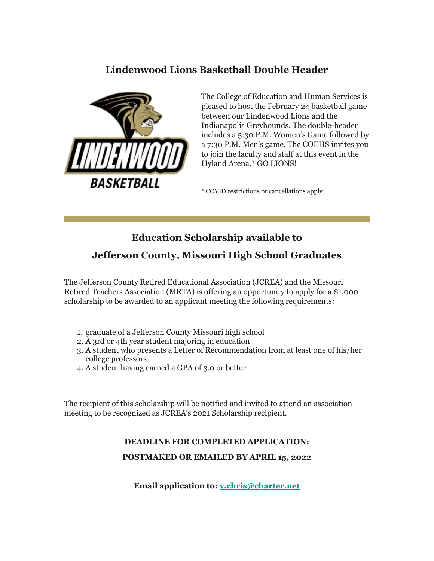## **Lindenwood Lions Basketball Double Header**



The College of Education and Human Services is pleased to host the February 24 basketball game between our Lindenwood Lions and the Indianapolis Greyhounds. The double-header includes a 5:30 P.M. Women's Game followed by a 7:30 P.M. Men's game. The COEHS invites you to join the faculty and staff at this event in the Hyland Arena.\* GO LIONS!

\* COVID restrictions or cancellations apply.

#### **Education Scholarship available to**

#### **Jefferson County, Missouri High School Graduates**

The Jefferson County Retired Educational Association (JCREA) and the Missouri Retired Teachers Association (MRTA) is offering an opportunity to apply for a \$1,000 scholarship to be awarded to an applicant meeting the following requirements:

- 1. graduate of a Jefferson County Missouri high school
- 2. A 3rd or 4th year student majoring in education
- 3. A student who presents a Letter of Recommendation from at least one of his/her college professors
- 4. A student having earned a GPA of 3.0 or better

The recipient of this scholarship will be notified and invited to attend an association meeting to be recognized as JCREA's 2021 Scholarship recipient.

# **DEADLINE FOR COMPLETED APPLICATION: POSTMAKED OR EMAILED BY APRIL 15, 2022**

**Email application to: [v.chris@charter.net](mailto:v.chris@charter.net)**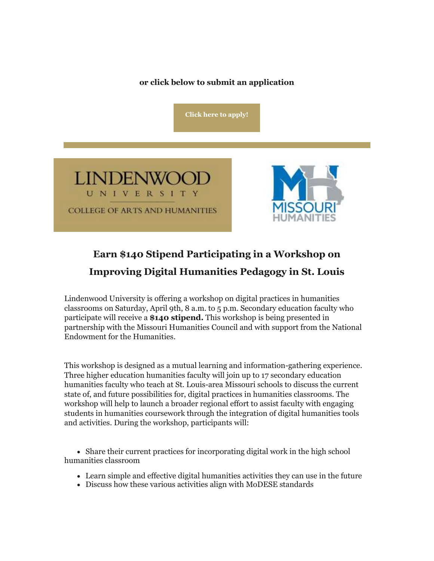#### **or click below to submit an application**

**[Click here to apply!](https://nam04.safelinks.protection.outlook.com/?url=https%3A%2F%2Fr20.rs6.net%2Ftn.jsp%3Ff%3D001cZdsz7Nb0n1sqKy5sAV5sAygCYgY1YLFjVA2BlF6HKm9Xgap5ihLMv87kocg9lVStA1FsRP27dtl-IY7-xkayDJK5zgS4nwLS9FhltIg31zrZQR_huEwN5jv8Ocp8PXy8sstxAMYe22IDsON7AdYJM67I57GCG06cVVtriYtrAjsX0kIXoGpx6EekBjACfSe4ZA8IZ_UbyEVlvy1qAUh4RHbu1fSALY04Jgna8KO6WiOu1o_9EMEU8U9rtpFur9z%26c%3DOwAi-uW8upnqtbbpKWYfv_C233NH6d27P9-7GIbqW1RNNZzTfKg6sg%3D%3D%26ch%3Dy2pyEEA6wWRkfPeidISvDzBJmkkUSsyNgcsMNlh8YVwdot7gdtcn_A%3D%3D&data=04%7C01%7Cphuffman%40lindenwood.edu%7Cc0f53577e92d4c3952f308d9e5a054fc%7C3d72f08e540a4c68905d9e69c4d9c61e%7C1%7C0%7C637793299060647401%7CUnknown%7CTWFpbGZsb3d8eyJWIjoiMC4wLjAwMDAiLCJQIjoiV2luMzIiLCJBTiI6Ik1haWwiLCJXVCI6Mn0%3D%7C3000&sdata=SMyoe0kM60X15mhb4vbeXQavU7gqBNeXfByKjbQUC%2Fg%3D&reserved=0)**





# **Earn \$140 Stipend Participating in a Workshop on Improving Digital Humanities Pedagogy in St. Louis**

Lindenwood University is offering a workshop on digital practices in humanities classrooms on Saturday, April 9th, 8 a.m. to 5 p.m. Secondary education faculty who participate will receive a **\$140 stipend.** This workshop is being presented in partnership with the Missouri Humanities Council and with support from the National Endowment for the Humanities.

This workshop is designed as a mutual learning and information-gathering experience. Three higher education humanities faculty will join up to 17 secondary education humanities faculty who teach at St. Louis-area Missouri schools to discuss the current state of, and future possibilities for, digital practices in humanities classrooms. The workshop will help to launch a broader regional effort to assist faculty with engaging students in humanities coursework through the integration of digital humanities tools and activities. During the workshop, participants will:

 Share their current practices for incorporating digital work in the high school humanities classroom

- Learn simple and effective digital humanities activities they can use in the future
- Discuss how these various activities align with MoDESE standards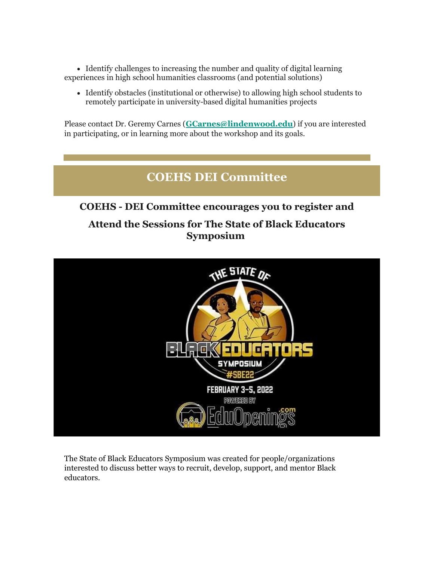Identify challenges to increasing the number and quality of digital learning experiences in high school humanities classrooms (and potential solutions)

 Identify obstacles (institutional or otherwise) to allowing high school students to remotely participate in university-based digital humanities projects

Please contact Dr. Geremy Carnes (**[GCarnes@lindenwood.edu](mailto:GCarnes@lindenwood.edu)**) if you are interested in participating, or in learning more about the workshop and its goals.

# **COEHS DEI Committee**

# **COEHS - DEI Committee encourages you to register and Attend the Sessions for The State of Black Educators Symposium**



The State of Black Educators Symposium was created for people/organizations interested to discuss better ways to recruit, develop, support, and mentor Black educators.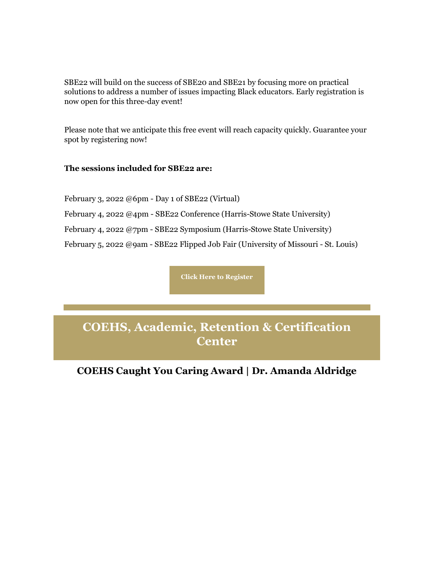SBE22 will build on the success of SBE20 and SBE21 by focusing more on practical solutions to address a number of issues impacting Black educators. Early registration is now open for this three-day event!

Please note that we anticipate this free event will reach capacity quickly. Guarantee your spot by registering now!

#### **The sessions included for SBE22 are:**

February 3, 2022 @6pm - Day 1 of SBE22 (Virtual)

February 4, 2022 @4pm - SBE22 Conference (Harris-Stowe State University)

February 4, 2022 @7pm - SBE22 Symposium (Harris-Stowe State University)

February 5, 2022 @9am - SBE22 Flipped Job Fair (University of Missouri - St. Louis)

**[Click Here to Register](https://nam04.safelinks.protection.outlook.com/?url=https%3A%2F%2Fr20.rs6.net%2Ftn.jsp%3Ff%3D001cZdsz7Nb0n1sqKy5sAV5sAygCYgY1YLFjVA2BlF6HKm9Xgap5ihLMrL8bw9PfVQqPmnp8FKLV90d218TYuZxbOKSXJzrkESKytA_lqietZ0l0gWJVSNYNSBzOIO5g2CtIUYwrWmUFipraR8kduraK3nSHX79vhSL2Z4gk49kXWiySmTmacv8nBPMhyty0HnhrUZXesnwYKnkpJV4sFL8UAyqEQrBPYl4Ygncgj-Q1SuCjyPze8OAZA%3D%3D%26c%3DOwAi-uW8upnqtbbpKWYfv_C233NH6d27P9-7GIbqW1RNNZzTfKg6sg%3D%3D%26ch%3Dy2pyEEA6wWRkfPeidISvDzBJmkkUSsyNgcsMNlh8YVwdot7gdtcn_A%3D%3D&data=04%7C01%7Cphuffman%40lindenwood.edu%7Cc0f53577e92d4c3952f308d9e5a054fc%7C3d72f08e540a4c68905d9e69c4d9c61e%7C1%7C0%7C637793299060647401%7CUnknown%7CTWFpbGZsb3d8eyJWIjoiMC4wLjAwMDAiLCJQIjoiV2luMzIiLCJBTiI6Ik1haWwiLCJXVCI6Mn0%3D%7C3000&sdata=QcVjiKPhQfKWZLpiqnf1Ws81bK1pfEoH8jSVa1Ddn4M%3D&reserved=0)**

**COEHS, Academic, Retention & Certification Center**

# **COEHS Caught You Caring Award | Dr. Amanda Aldridge**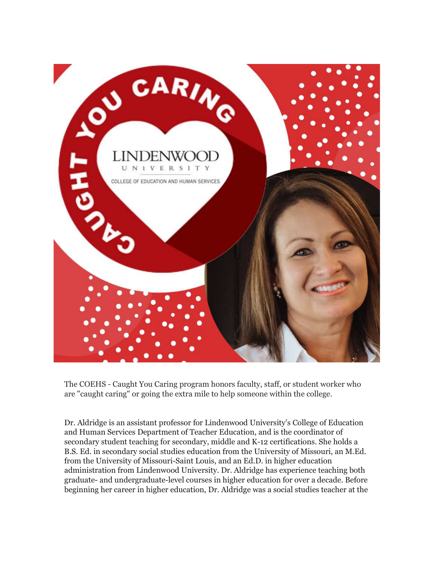

The COEHS - Caught You Caring program honors faculty, staff, or student worker who are "caught caring" or going the extra mile to help someone within the college.

Dr. Aldridge is an assistant professor for Lindenwood University's College of Education and Human Services Department of Teacher Education, and is the coordinator of secondary student teaching for secondary, middle and K-12 certifications. She holds a B.S. Ed. in secondary social studies education from the University of Missouri, an M.Ed. from the University of Missouri-Saint Louis, and an Ed.D. in higher education administration from Lindenwood University. Dr. Aldridge has experience teaching both graduate- and undergraduate-level courses in higher education for over a decade. Before beginning her career in higher education, Dr. Aldridge was a social studies teacher at the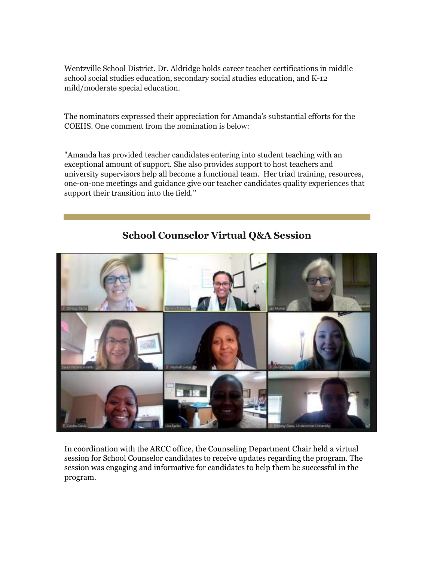Wentzville School District. Dr. Aldridge holds career teacher certifications in middle school social studies education, secondary social studies education, and K-12 mild/moderate special education.

The nominators expressed their appreciation for Amanda's substantial efforts for the COEHS. One comment from the nomination is below:

"Amanda has provided teacher candidates entering into student teaching with an exceptional amount of support. She also provides support to host teachers and university supervisors help all become a functional team. Her triad training, resources, one-on-one meetings and guidance give our teacher candidates quality experiences that support their transition into the field."



**School Counselor Virtual Q&A Session**

In coordination with the ARCC office, the Counseling Department Chair held a virtual session for School Counselor candidates to receive updates regarding the program. The session was engaging and informative for candidates to help them be successful in the program.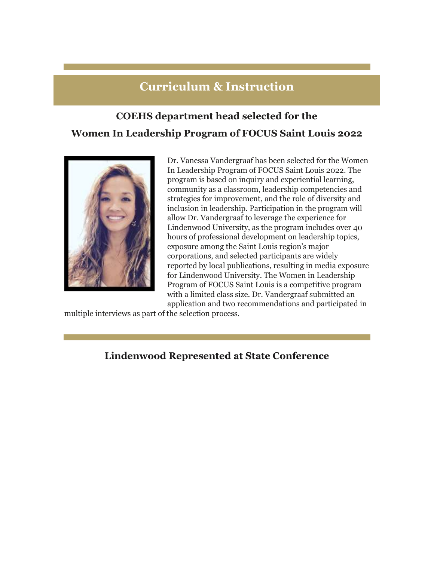# **Curriculum & Instruction**

# **COEHS department head selected for the Women In Leadership Program of FOCUS Saint Louis 2022**



Dr. Vanessa Vandergraaf has been selected for the Women In Leadership Program of FOCUS Saint Louis 2022. The program is based on inquiry and experiential learning, community as a classroom, leadership competencies and strategies for improvement, and the role of diversity and inclusion in leadership. Participation in the program will allow Dr. Vandergraaf to leverage the experience for Lindenwood University, as the program includes over 40 hours of professional development on leadership topics, exposure among the Saint Louis region's major corporations, and selected participants are widely reported by local publications, resulting in media exposure for Lindenwood University. The Women in Leadership Program of FOCUS Saint Louis is a competitive program with a limited class size. Dr. Vandergraaf submitted an application and two recommendations and participated in

multiple interviews as part of the selection process.

#### **Lindenwood Represented at State Conference**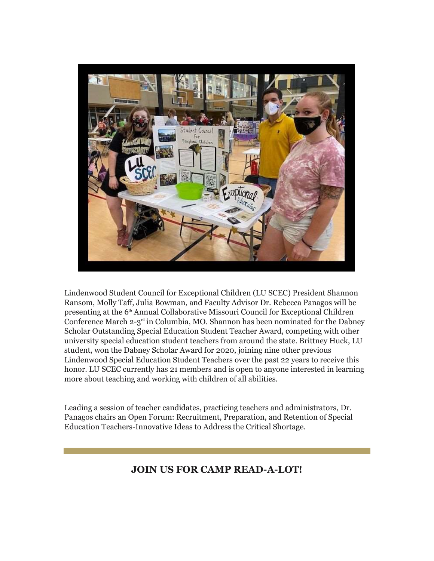

Lindenwood Student Council for Exceptional Children (LU SCEC) President Shannon Ransom, Molly Taff, Julia Bowman, and Faculty Advisor Dr. Rebecca Panagos will be presenting at the 6<sup>th</sup> Annual Collaborative Missouri Council for Exceptional Children Conference March  $2-3<sup>rd</sup>$  in Columbia, MO. Shannon has been nominated for the Dabney Scholar Outstanding Special Education Student Teacher Award, competing with other university special education student teachers from around the state. Brittney Huck, LU student, won the Dabney Scholar Award for 2020, joining nine other previous Lindenwood Special Education Student Teachers over the past 22 years to receive this honor. LU SCEC currently has 21 members and is open to anyone interested in learning more about teaching and working with children of all abilities.

Leading a session of teacher candidates, practicing teachers and administrators, Dr. Panagos chairs an Open Forum: Recruitment, Preparation, and Retention of Special Education Teachers-Innovative Ideas to Address the Critical Shortage.

#### **JOIN US FOR CAMP READ-A-LOT!**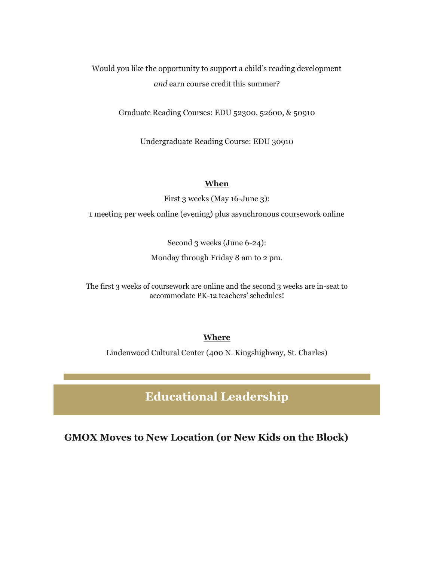Would you like the opportunity to support a child's reading development *and* earn course credit this summer?

Graduate Reading Courses: EDU 52300, 52600, & 50910

Undergraduate Reading Course: EDU 30910

#### **When**

First 3 weeks (May 16-June 3):

1 meeting per week online (evening) plus asynchronous coursework online

Second 3 weeks (June 6-24):

Monday through Friday 8 am to 2 pm.

The first 3 weeks of coursework are online and the second 3 weeks are in-seat to accommodate PK-12 teachers' schedules!

#### **Where**

Lindenwood Cultural Center (400 N. Kingshighway, St. Charles)

**Educational Leadership**

**GMOX Moves to New Location (or New Kids on the Block)**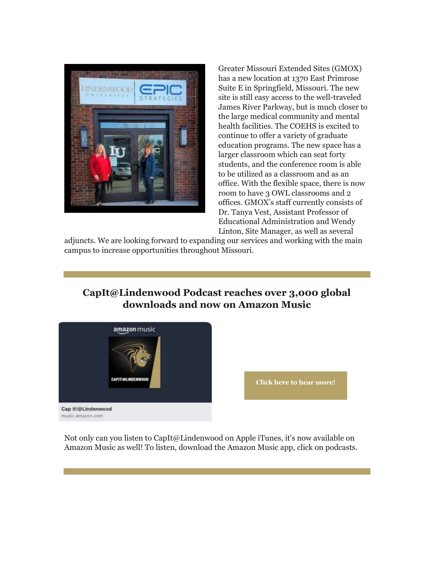

Greater Missouri Extended Sites (GMOX) has a new location at 1370 East Primrose Suite E in Springfield, Missouri. The new site is still easy access to the well-traveled James River Parkway, but is much closer to the large medical community and mental health facilities. The COEHS is excited to continue to offer a variety of graduate education programs. The new space has a larger classroom which can seat forty students, and the conference room is able to be utilized as a classroom and as an office. With the flexible space, there is now room to have 3 OWL classrooms and 2 offices. GMOX's staff currently consists of Dr. Tanya Vest, Assistant Professor of Educational Administration and Wendy Linton, Site Manager, as well as several

adjuncts. We are looking forward to expanding our services and working with the main campus to increase opportunities throughout Missouri.

# **CapIt@Lindenwood Podcast reaches over 3,000 global downloads and now on Amazon Music**



**[Click here to hear more!](https://nam04.safelinks.protection.outlook.com/?url=https%3A%2F%2Fr20.rs6.net%2Ftn.jsp%3Ff%3D001cZdsz7Nb0n1sqKy5sAV5sAygCYgY1YLFjVA2BlF6HKm9Xgap5ihLMv87kocg9lVSPFybg_y6qPB7goZ8ouAHsY9CScjrpFmIEyMW-iP8NEpa_IO4eYjGR-XIRhRnqhGsZPhMSOH1urNz7gusnz6vaSlZQTCvuM4hYYCGA5B-rL8yt2dcLB4MRVoDwhuuBSDZlJ_EvgbMrwvQuM3Oa61VKCLNk5FESmjxinkhmWYzfbA%3D%26c%3DOwAi-uW8upnqtbbpKWYfv_C233NH6d27P9-7GIbqW1RNNZzTfKg6sg%3D%3D%26ch%3Dy2pyEEA6wWRkfPeidISvDzBJmkkUSsyNgcsMNlh8YVwdot7gdtcn_A%3D%3D&data=04%7C01%7Cphuffman%40lindenwood.edu%7Cc0f53577e92d4c3952f308d9e5a054fc%7C3d72f08e540a4c68905d9e69c4d9c61e%7C1%7C0%7C637793299060647401%7CUnknown%7CTWFpbGZsb3d8eyJWIjoiMC4wLjAwMDAiLCJQIjoiV2luMzIiLCJBTiI6Ik1haWwiLCJXVCI6Mn0%3D%7C3000&sdata=phvICS7mPwZ31AAiuFAF6wrEzOdVbA5Gmm7klHifaSU%3D&reserved=0)**

Not only can you listen to CapIt@Lindenwood on Apple iTunes, it's now available on Amazon Music as well! To listen, download the Amazon Music app, click on podcasts.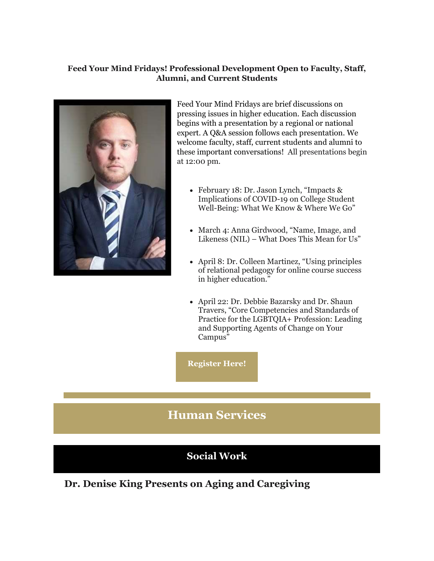#### **Feed Your Mind Fridays! Professional Development Open to Faculty, Staff, Alumni, and Current Students**



Feed Your Mind Fridays are brief discussions on pressing issues in higher education. Each discussion begins with a presentation by a regional or national expert. A Q&A session follows each presentation. We welcome faculty, staff, current students and alumni to these important conversations! All presentations begin at 12:00 pm.

- February 18: Dr. Jason Lynch, "Impacts & Implications of COVID-19 on College Student Well-Being: What We Know & Where We Go"
- March 4: Anna Girdwood, "Name, Image, and Likeness (NIL) – What Does This Mean for Us"
- April 8: Dr. Colleen Martinez, "Using principles of relational pedagogy for online course success in higher education."
- April 22: Dr. Debbie Bazarsky and Dr. Shaun Travers, "Core Competencies and Standards of Practice for the LGBTQIA+ Profession: Leading and Supporting Agents of Change on Your Campus"

**[Register Here!](https://nam04.safelinks.protection.outlook.com/?url=https%3A%2F%2Fr20.rs6.net%2Ftn.jsp%3Ff%3D001cZdsz7Nb0n1sqKy5sAV5sAygCYgY1YLFjVA2BlF6HKm9Xgap5ihLMv87kocg9lVSViXvDhEuCuyoY0x3oEbzQwfZ3O-XDCxcZb6vTL2Kcy_u6lUZbNSISK9pdso6PmCK-bTkkAJbkQsx29yIxkObgPssCzsGUVfryFOZ5UTivKHAg3RRJSSMUA%3D%3D%26c%3DOwAi-uW8upnqtbbpKWYfv_C233NH6d27P9-7GIbqW1RNNZzTfKg6sg%3D%3D%26ch%3Dy2pyEEA6wWRkfPeidISvDzBJmkkUSsyNgcsMNlh8YVwdot7gdtcn_A%3D%3D&data=04%7C01%7Cphuffman%40lindenwood.edu%7Cc0f53577e92d4c3952f308d9e5a054fc%7C3d72f08e540a4c68905d9e69c4d9c61e%7C1%7C0%7C637793299060647401%7CUnknown%7CTWFpbGZsb3d8eyJWIjoiMC4wLjAwMDAiLCJQIjoiV2luMzIiLCJBTiI6Ik1haWwiLCJXVCI6Mn0%3D%7C3000&sdata=0Ejb8U9d0wRpwVEu0vRQmCyUpuo022bUXUhlRkbue1Q%3D&reserved=0)**

# **Human Services**

### **Social Work**

**Dr. Denise King Presents on Aging and Caregiving**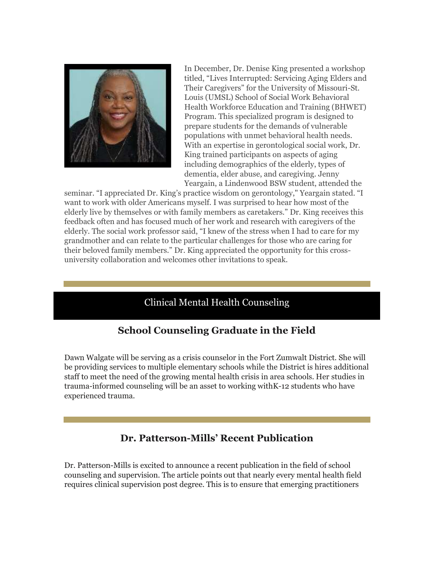

In December, Dr. Denise King presented a workshop titled, "Lives Interrupted: Servicing Aging Elders and Their Caregivers" for the University of Missouri-St. Louis (UMSL) School of Social Work Behavioral Health Workforce Education and Training (BHWET) Program. This specialized program is designed to prepare students for the demands of vulnerable populations with unmet behavioral health needs. With an expertise in gerontological social work, Dr. King trained participants on aspects of aging including demographics of the elderly, types of dementia, elder abuse, and caregiving. Jenny Yeargain, a Lindenwood BSW student, attended the

seminar. "I appreciated Dr. King's practice wisdom on gerontology," Yeargain stated. "I want to work with older Americans myself. I was surprised to hear how most of the elderly live by themselves or with family members as caretakers." Dr. King receives this feedback often and has focused much of her work and research with caregivers of the elderly. The social work professor said, "I knew of the stress when I had to care for my grandmother and can relate to the particular challenges for those who are caring for their beloved family members." Dr. King appreciated the opportunity for this crossuniversity collaboration and welcomes other invitations to speak.

#### Clinical Mental Health Counseling

# **School Counseling Graduate in the Field**

Dawn Walgate will be serving as a crisis counselor in the Fort Zumwalt District. She will be providing services to multiple elementary schools while the District is hires additional staff to meet the need of the growing mental health crisis in area schools. Her studies in trauma-informed counseling will be an asset to working withK-12 students who have experienced trauma.

#### **Dr. Patterson-Mills' Recent Publication**

Dr. Patterson-Mills is excited to announce a recent publication in the field of school counseling and supervision. The article points out that nearly every mental health field requires clinical supervision post degree. This is to ensure that emerging practitioners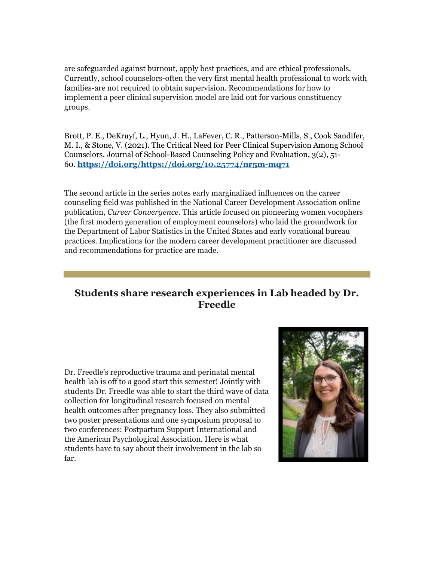are safeguarded against burnout, apply best practices, and are ethical professionals. Currently, school counselors-often the very first mental health professional to work with families-are not required to obtain supervision. Recommendations for how to implement a peer clinical supervision model are laid out for various constituency groups.

Brott, P. E., DeKruyf, L., Hyun, J. H., LaFever, C. R., Patterson-Mills, S., Cook Sandifer, M. I., & Stone, V. (2021). The Critical Need for Peer Clinical Supervision Among School Counselors. Journal of School-Based Counseling Policy and Evaluation, 3(2), 51- 60. **[https://doi.org/https://doi.org/10.25774/nr5m-mq71](https://nam04.safelinks.protection.outlook.com/?url=https%3A%2F%2Fr20.rs6.net%2Ftn.jsp%3Ff%3D001cZdsz7Nb0n1sqKy5sAV5sAygCYgY1YLFjVA2BlF6HKm9Xgap5ihLMv87kocg9lVSbgCQmZ72Z-qJLbEAUiWiAUeW2v8PU7RNCGUbThvOaSMu84QBYcUY7vjjHkfCBAYe5Cq9GHOMzSKtkPboF8cNXN9gduYd5L_I0ACbStn_-Max8XYSAH9ErV6OyoUiM2ZB%26c%3DOwAi-uW8upnqtbbpKWYfv_C233NH6d27P9-7GIbqW1RNNZzTfKg6sg%3D%3D%26ch%3Dy2pyEEA6wWRkfPeidISvDzBJmkkUSsyNgcsMNlh8YVwdot7gdtcn_A%3D%3D&data=04%7C01%7Cphuffman%40lindenwood.edu%7Cc0f53577e92d4c3952f308d9e5a054fc%7C3d72f08e540a4c68905d9e69c4d9c61e%7C1%7C0%7C637793299060647401%7CUnknown%7CTWFpbGZsb3d8eyJWIjoiMC4wLjAwMDAiLCJQIjoiV2luMzIiLCJBTiI6Ik1haWwiLCJXVCI6Mn0%3D%7C3000&sdata=2HbSREoa%2BsNC%2FM%2F1C3XX20WSEur0CD5G%2BhDtFbDnFgs%3D&reserved=0)**

The second article in the series notes early marginalized influences on the career counseling field was published in the National Career Development Association online publication, *Career Convergence*. This article focused on pioneering women vocophers (the first modern generation of employment counselors) who laid the groundwork for the Department of Labor Statistics in the United States and early vocational bureau practices. Implications for the modern career development practitioner are discussed and recommendations for practice are made.

### **Students share research experiences in Lab headed by Dr. Freedle**

Dr. Freedle's reproductive trauma and perinatal mental health lab is off to a good start this semester! Jointly with students Dr. Freedle was able to start the third wave of data collection for longitudinal research focused on mental health outcomes after pregnancy loss. They also submitted two poster presentations and one symposium proposal to two conferences: Postpartum Support International and the American Psychological Association. Here is what students have to say about their involvement in the lab so far.

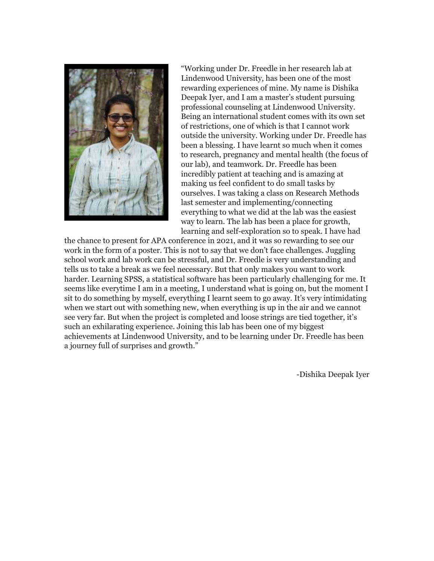

"Working under Dr. Freedle in her research lab at Lindenwood University, has been one of the most rewarding experiences of mine. My name is Dishika Deepak Iyer, and I am a master's student pursuing professional counseling at Lindenwood University. Being an international student comes with its own set of restrictions, one of which is that I cannot work outside the university. Working under Dr. Freedle has been a blessing. I have learnt so much when it comes to research, pregnancy and mental health (the focus of our lab), and teamwork. Dr. Freedle has been incredibly patient at teaching and is amazing at making us feel confident to do small tasks by ourselves. I was taking a class on Research Methods last semester and implementing/connecting everything to what we did at the lab was the easiest way to learn. The lab has been a place for growth, learning and self-exploration so to speak. I have had

the chance to present for APA conference in 2021, and it was so rewarding to see our work in the form of a poster. This is not to say that we don't face challenges. Juggling school work and lab work can be stressful, and Dr. Freedle is very understanding and tells us to take a break as we feel necessary. But that only makes you want to work harder. Learning SPSS, a statistical software has been particularly challenging for me. It seems like everytime I am in a meeting, I understand what is going on, but the moment I sit to do something by myself, everything I learnt seem to go away. It's very intimidating when we start out with something new, when everything is up in the air and we cannot see very far. But when the project is completed and loose strings are tied together, it's such an exhilarating experience. Joining this lab has been one of my biggest achievements at Lindenwood University, and to be learning under Dr. Freedle has been a journey full of surprises and growth."

-Dishika Deepak Iyer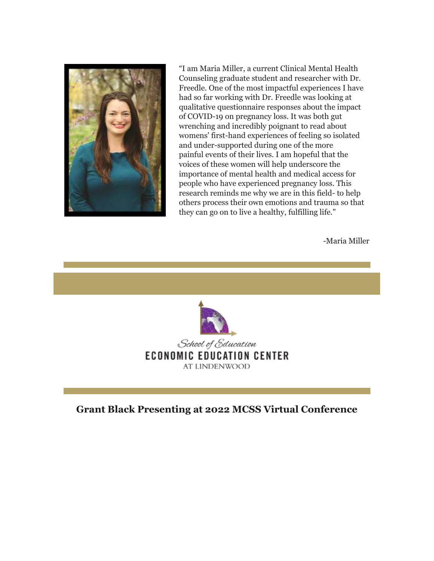

"I am Maria Miller, a current Clinical Mental Health Counseling graduate student and researcher with Dr. Freedle. One of the most impactful experiences I have had so far working with Dr. Freedle was looking at qualitative questionnaire responses about the impact of COVID-19 on pregnancy loss. It was both gut wrenching and incredibly poignant to read about womens' first-hand experiences of feeling so isolated and under-supported during one of the more painful events of their lives. I am hopeful that the voices of these women will help underscore the importance of mental health and medical access for people who have experienced pregnancy loss. This research reminds me why we are in this field- to help others process their own emotions and trauma so that they can go on to live a healthy, fulfilling life."

-Maria Miller



**Grant Black Presenting at 2022 MCSS Virtual Conference**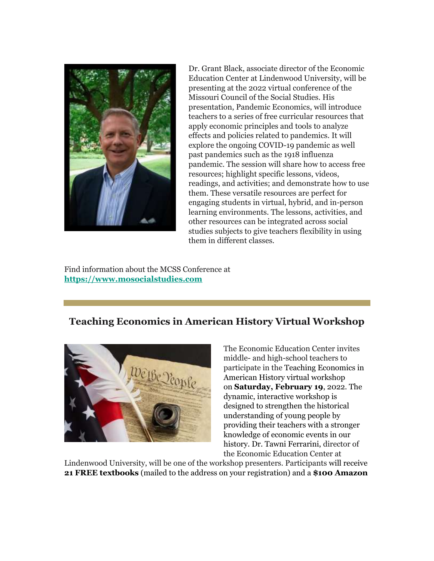

Dr. Grant Black, associate director of the Economic Education Center at Lindenwood University, will be presenting at the 2022 virtual conference of the Missouri Council of the Social Studies. His presentation, Pandemic Economics, will introduce teachers to a series of free curricular resources that apply economic principles and tools to analyze effects and policies related to pandemics. It will explore the ongoing COVID-19 pandemic as well past pandemics such as the 1918 influenza pandemic. The session will share how to access free resources; highlight specific lessons, videos, readings, and activities; and demonstrate how to use them. These versatile resources are perfect for engaging students in virtual, hybrid, and in-person learning environments. The lessons, activities, and other resources can be integrated across social studies subjects to give teachers flexibility in using them in different classes.

Find information about the MCSS Conference a[t](https://nam04.safelinks.protection.outlook.com/?url=https%3A%2F%2Fr20.rs6.net%2Ftn.jsp%3Ff%3D001cZdsz7Nb0n1sqKy5sAV5sAygCYgY1YLFjVA2BlF6HKm9Xgap5ihLMv87kocg9lVSgia6oN68KaNcLKJ_JI8xS987mr7OfW_mFMtLVo1Azzyro7HD0Yd3k8A1hlcyR3FLQyboRu1u08kG8aPDudKl9jmrOe8V2DKu%26c%3DOwAi-uW8upnqtbbpKWYfv_C233NH6d27P9-7GIbqW1RNNZzTfKg6sg%3D%3D%26ch%3Dy2pyEEA6wWRkfPeidISvDzBJmkkUSsyNgcsMNlh8YVwdot7gdtcn_A%3D%3D&data=04%7C01%7Cphuffman%40lindenwood.edu%7Cc0f53577e92d4c3952f308d9e5a054fc%7C3d72f08e540a4c68905d9e69c4d9c61e%7C1%7C0%7C637793299060647401%7CUnknown%7CTWFpbGZsb3d8eyJWIjoiMC4wLjAwMDAiLCJQIjoiV2luMzIiLCJBTiI6Ik1haWwiLCJXVCI6Mn0%3D%7C3000&sdata=rVPhU5%2FC%2B5HMPWpXzlgIhF%2FMSHK6MIQ264Vu79veE6Q%3D&reserved=0) **[https://www.mosocialstudies.com](https://nam04.safelinks.protection.outlook.com/?url=https%3A%2F%2Fr20.rs6.net%2Ftn.jsp%3Ff%3D001cZdsz7Nb0n1sqKy5sAV5sAygCYgY1YLFjVA2BlF6HKm9Xgap5ihLMv87kocg9lVSgia6oN68KaNcLKJ_JI8xS987mr7OfW_mFMtLVo1Azzyro7HD0Yd3k8A1hlcyR3FLQyboRu1u08kG8aPDudKl9jmrOe8V2DKu%26c%3DOwAi-uW8upnqtbbpKWYfv_C233NH6d27P9-7GIbqW1RNNZzTfKg6sg%3D%3D%26ch%3Dy2pyEEA6wWRkfPeidISvDzBJmkkUSsyNgcsMNlh8YVwdot7gdtcn_A%3D%3D&data=04%7C01%7Cphuffman%40lindenwood.edu%7Cc0f53577e92d4c3952f308d9e5a054fc%7C3d72f08e540a4c68905d9e69c4d9c61e%7C1%7C0%7C637793299060647401%7CUnknown%7CTWFpbGZsb3d8eyJWIjoiMC4wLjAwMDAiLCJQIjoiV2luMzIiLCJBTiI6Ik1haWwiLCJXVCI6Mn0%3D%7C3000&sdata=rVPhU5%2FC%2B5HMPWpXzlgIhF%2FMSHK6MIQ264Vu79veE6Q%3D&reserved=0)**

#### **Teaching Economics in American History Virtual Workshop**



The Economic Education Center invites middle- and high-school teachers to participate in the Teaching Economics in American History virtual workshop on **Saturday, February 19**, 2022. The dynamic, interactive workshop is designed to strengthen the historical understanding of young people by providing their teachers with a stronger knowledge of economic events in our history. Dr. Tawni Ferrarini, director of the Economic Education Center at

Lindenwood University, will be one of the workshop presenters. Participants will receive **21 FREE textbooks** (mailed to the address on your registration) and a **\$100 Amazon**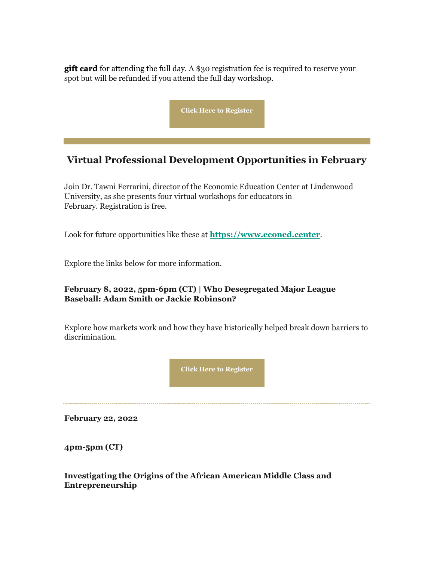**gift card** for attending the full day. A \$30 registration fee is required to reserve your spot but will be refunded if you attend the full day workshop.



# **Virtual Professional Development Opportunities in February**

Join Dr. Tawni Ferrarini, director of the Economic Education Center at Lindenwood University, as she presents four virtual workshops for educators in February. Registration is free.

Look for future opportunities like these at **[https://www.econed.center](https://nam04.safelinks.protection.outlook.com/?url=https%3A%2F%2Fr20.rs6.net%2Ftn.jsp%3Ff%3D001cZdsz7Nb0n1sqKy5sAV5sAygCYgY1YLFjVA2BlF6HKm9Xgap5ihLMv87kocg9lVSYg5ex1e0XJpj_6XTyBW6OFEJC7WmvI61VRGCgdz9mmQ6-1iQr9BUV2vpKzQa0IF0ur_sblD__J6siGWBTmiYWg%3D%3D%26c%3DOwAi-uW8upnqtbbpKWYfv_C233NH6d27P9-7GIbqW1RNNZzTfKg6sg%3D%3D%26ch%3Dy2pyEEA6wWRkfPeidISvDzBJmkkUSsyNgcsMNlh8YVwdot7gdtcn_A%3D%3D&data=04%7C01%7Cphuffman%40lindenwood.edu%7Cc0f53577e92d4c3952f308d9e5a054fc%7C3d72f08e540a4c68905d9e69c4d9c61e%7C1%7C0%7C637793299060647401%7CUnknown%7CTWFpbGZsb3d8eyJWIjoiMC4wLjAwMDAiLCJQIjoiV2luMzIiLCJBTiI6Ik1haWwiLCJXVCI6Mn0%3D%7C3000&sdata=QYXT5s6irg1kBsXo2ncoHow%2FJHiw43R2zufSnZfAe3k%3D&reserved=0)**.

Explore the links below for more information.

#### **February 8, 2022, 5pm-6pm (CT) | Who Desegregated Major League Baseball: Adam Smith or Jackie Robinson?**

Explore how markets work and how they have historically helped break down barriers to discrimination.



**February 22, 2022**

**4pm-5pm (CT)** 

#### **Investigating the Origins of the African American Middle Class and Entrepreneurship**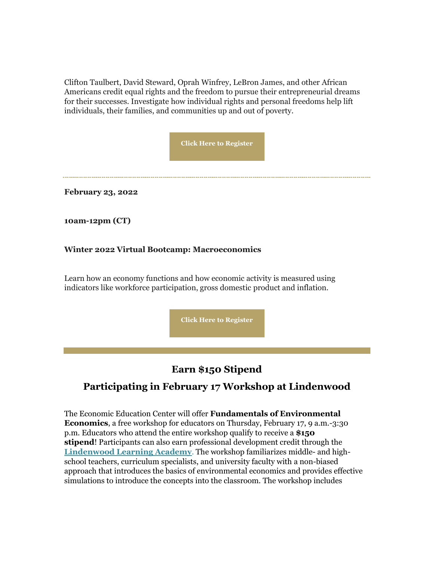Clifton Taulbert, David Steward, Oprah Winfrey, LeBron James, and other African Americans credit equal rights and the freedom to pursue their entrepreneurial dreams for their successes. Investigate how individual rights and personal freedoms help lift individuals, their families, and communities up and out of poverty.

**[Click Here to Register](https://nam04.safelinks.protection.outlook.com/?url=https%3A%2F%2Fr20.rs6.net%2Ftn.jsp%3Ff%3D001cZdsz7Nb0n1sqKy5sAV5sAygCYgY1YLFjVA2BlF6HKm9Xgap5ihLMv87kocg9lVSXzAufiYuoQOX3j1Bq2t_XJ_KXtoBeEWpCd43Y8wleeMD2z6h8zBCm3nhgKXsSBW8LdppK2bpFeQLx9eXOd17FdHm7pkjhrTQVo7Fr9Y37zwUKdNmyNiq110AqWGV6E4y_DxRR7mIQ2UjqG7PrR6HwhuDvKwfuS_qotwerKL9100P1uib6czqOgAwcJM5WAw-dEc_KvnsPEnrzLKcG02cCg%3D%3D%26c%3DOwAi-uW8upnqtbbpKWYfv_C233NH6d27P9-7GIbqW1RNNZzTfKg6sg%3D%3D%26ch%3Dy2pyEEA6wWRkfPeidISvDzBJmkkUSsyNgcsMNlh8YVwdot7gdtcn_A%3D%3D&data=04%7C01%7Cphuffman%40lindenwood.edu%7Cc0f53577e92d4c3952f308d9e5a054fc%7C3d72f08e540a4c68905d9e69c4d9c61e%7C1%7C0%7C637793299060647401%7CUnknown%7CTWFpbGZsb3d8eyJWIjoiMC4wLjAwMDAiLCJQIjoiV2luMzIiLCJBTiI6Ik1haWwiLCJXVCI6Mn0%3D%7C3000&sdata=qIcVpCGgOsSlZjWJoy%2B8mfk%2FjE6IbyT%2FxL%2BGUiC4BxI%3D&reserved=0)**

**February 23, 2022**

**10am-12pm (CT)** 

#### **Winter 2022 Virtual Bootcamp: Macroeconomics**

Learn how an economy functions and how economic activity is measured using indicators like workforce participation, gross domestic product and inflation.

**[Click Here to Register](https://nam04.safelinks.protection.outlook.com/?url=https%3A%2F%2Fr20.rs6.net%2Ftn.jsp%3Ff%3D001cZdsz7Nb0n1sqKy5sAV5sAygCYgY1YLFjVA2BlF6HKm9Xgap5ihLMv87kocg9lVSA1vYsGHWxbkstmBipOm22uPNTYpfW5mJDDYSwUJiwsVTozm9NwLlSrcigVhGwm_qIEWKW7YVOHJRzVnwJ4iubS36IQafGdZ2MUyZFSypmOZQL9IbO_lnnk5sxyq6UnByhoXxdm7Cb79Cg9QvSCLy8pJXNTFWXiZs%26c%3DOwAi-uW8upnqtbbpKWYfv_C233NH6d27P9-7GIbqW1RNNZzTfKg6sg%3D%3D%26ch%3Dy2pyEEA6wWRkfPeidISvDzBJmkkUSsyNgcsMNlh8YVwdot7gdtcn_A%3D%3D&data=04%7C01%7Cphuffman%40lindenwood.edu%7Cc0f53577e92d4c3952f308d9e5a054fc%7C3d72f08e540a4c68905d9e69c4d9c61e%7C1%7C0%7C637793299060647401%7CUnknown%7CTWFpbGZsb3d8eyJWIjoiMC4wLjAwMDAiLCJQIjoiV2luMzIiLCJBTiI6Ik1haWwiLCJXVCI6Mn0%3D%7C3000&sdata=QpgVRic05IzRxXvBb0gSECw%2Bgin1tU74y7f1HsT1Uyk%3D&reserved=0)**

#### **Earn \$150 Stipend**

#### **Participating in February 17 Workshop at Lindenwood**

The Economic Education Center will offer **Fundamentals of Environmental Economics**, a free workshop for educators on Thursday, February 17, 9 a.m.-3:30 p.m. Educators who attend the entire workshop qualify to receive a **\$150 stipend**! Participants can also earn professional development credit through the **[Lindenwood Learning Academy](https://nam04.safelinks.protection.outlook.com/?url=https%3A%2F%2Fr20.rs6.net%2Ftn.jsp%3Ff%3D001cZdsz7Nb0n1sqKy5sAV5sAygCYgY1YLFjVA2BlF6HKm9Xgap5ihLMrL8bw9PfVQqqNBYfUk_ksY426gLKqstV-HtZ_D5XShAqxor4b8SeT7x8PXk8jPwcO7xcVupGl_CcUR4ZPI0KRmNJ9hOw-4UKBNSjuvdqkdhPGyWRWoZ0f0OKWi8vubsvNqyjzXx-iQXQZmm7scQeAWYdKmDoqrmZw%3D%3D%26c%3DOwAi-uW8upnqtbbpKWYfv_C233NH6d27P9-7GIbqW1RNNZzTfKg6sg%3D%3D%26ch%3Dy2pyEEA6wWRkfPeidISvDzBJmkkUSsyNgcsMNlh8YVwdot7gdtcn_A%3D%3D&data=04%7C01%7Cphuffman%40lindenwood.edu%7Cc0f53577e92d4c3952f308d9e5a054fc%7C3d72f08e540a4c68905d9e69c4d9c61e%7C1%7C0%7C637793299060647401%7CUnknown%7CTWFpbGZsb3d8eyJWIjoiMC4wLjAwMDAiLCJQIjoiV2luMzIiLCJBTiI6Ik1haWwiLCJXVCI6Mn0%3D%7C3000&sdata=HQMI0BYGc3N7PE1auxgcnfNiQCnnx1PJi%2F%2FAyMYyBps%3D&reserved=0)**. The workshop familiarizes middle- and highschool teachers, curriculum specialists, and university faculty with a non-biased approach that introduces the basics of environmental economics and provides effective simulations to introduce the concepts into the classroom. The workshop includes